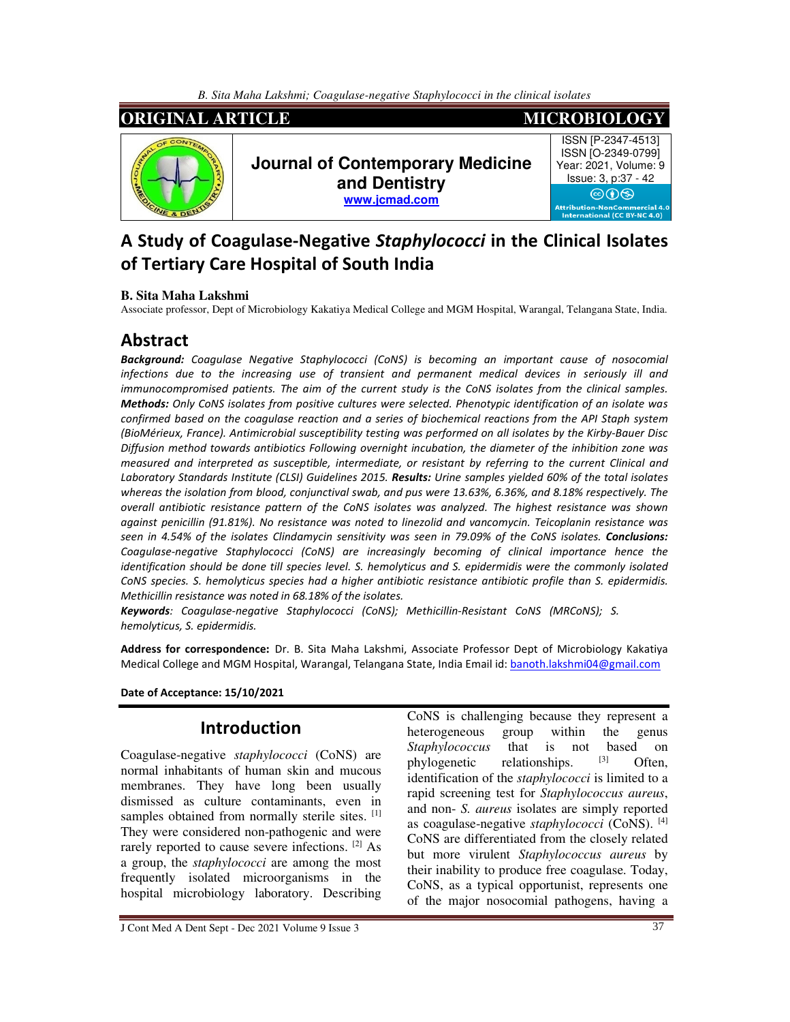

# **A Study of Coagulase-Negative** *Staphylococci* **in the Clinical Isolates of Tertiary Care Hospital of South India**

#### **B. Sita Maha Lakshmi**

Associate professor, Dept of Microbiology Kakatiya Medical College and MGM Hospital, Warangal, Telangana State, India.

## **Abstract**

*Background: Coagulase Negative Staphylococci (CoNS) is becoming an important cause of nosocomial infections due to the increasing use of transient and permanent medical devices in seriously ill and immunocompromised patients. The aim of the current study is the CoNS isolates from the clinical samples. Methods: Only CoNS isolates from positive cultures were selected. Phenotypic identification of an isolate was confirmed based on the coagulase reaction and a series of biochemical reactions from the API Staph system (BioMérieux, France). Antimicrobial susceptibility testing was performed on all isolates by the Kirby-Bauer Disc Diffusion method towards antibiotics Following overnight incubation, the diameter of the inhibition zone was measured and interpreted as susceptible, intermediate, or resistant by referring to the current Clinical and Laboratory Standards Institute (CLSI) Guidelines 2015. Results: Urine samples yielded 60% of the total isolates whereas the isolation from blood, conjunctival swab, and pus were 13.63%, 6.36%, and 8.18% respectively. The overall antibiotic resistance pattern of the CoNS isolates was analyzed. The highest resistance was shown against penicillin (91.81%). No resistance was noted to linezolid and vancomycin. Teicoplanin resistance was seen in 4.54% of the isolates Clindamycin sensitivity was seen in 79.09% of the CoNS isolates. Conclusions: Coagulase-negative Staphylococci (CoNS) are increasingly becoming of clinical importance hence the identification should be done till species level. S. hemolyticus and S. epidermidis were the commonly isolated CoNS species. S. hemolyticus species had a higher antibiotic resistance antibiotic profile than S. epidermidis. Methicillin resistance was noted in 68.18% of the isolates.* 

*Keywords: Coagulase-negative Staphylococci (CoNS); Methicillin-Resistant CoNS (MRCoNS); S. hemolyticus, S. epidermidis.* 

**Address for correspondence:** Dr. B. Sita Maha Lakshmi, Associate Professor Dept of Microbiology Kakatiya Medical College and MGM Hospital, Warangal, Telangana State, India Email id: banoth.lakshmi04@gmail.com

#### **Date of Acceptance: 15/10/2021**

### **Introduction**

Coagulase-negative *staphylococci* (CoNS) are normal inhabitants of human skin and mucous membranes. They have long been usually dismissed as culture contaminants, even in samples obtained from normally sterile sites. [1] They were considered non-pathogenic and were rarely reported to cause severe infections. <sup>[2]</sup> As a group, the *staphylococci* are among the most frequently isolated microorganisms in the hospital microbiology laboratory. Describing CoNS is challenging because they represent a heterogeneous group within the genus *Staphylococcus* that is not based on the phylogenetic relationships  $^{[3]}$  Often phylogenetic relationships.  $[3]$  Often, identification of the *staphylococci* is limited to a rapid screening test for *Staphylococcus aureus*, and non- *S. aureus* isolates are simply reported as coagulase-negative *staphylococci* (CoNS). [4] CoNS are differentiated from the closely related but more virulent *Staphylococcus aureus* by their inability to produce free coagulase. Today, CoNS, as a typical opportunist, represents one of the major nosocomial pathogens, having a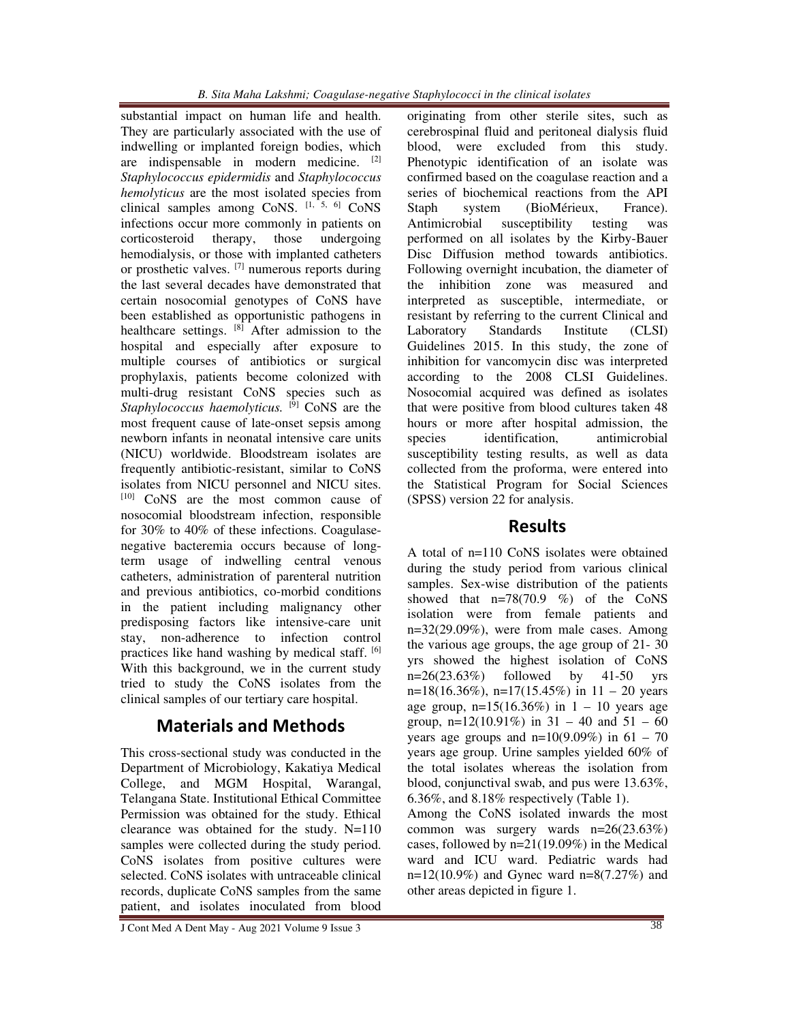substantial impact on human life and health. They are particularly associated with the use of indwelling or implanted foreign bodies, which are indispensable in modern medicine. [2] *Staphylococcus epidermidis* and *Staphylococcus hemolyticus* are the most isolated species from clinical samples among CoNS.  $[1, 5, 6]$  CoNS infections occur more commonly in patients on corticosteroid therapy, those undergoing hemodialysis, or those with implanted catheters or prosthetic valves. [7] numerous reports during the last several decades have demonstrated that certain nosocomial genotypes of CoNS have been established as opportunistic pathogens in healthcare settings. [8] After admission to the hospital and especially after exposure to multiple courses of antibiotics or surgical prophylaxis, patients become colonized with multi-drug resistant CoNS species such as *Staphylococcus haemolyticus.* <sup>[9]</sup> CoNS are the most frequent cause of late-onset sepsis among newborn infants in neonatal intensive care units (NICU) worldwide. Bloodstream isolates are frequently antibiotic-resistant, similar to CoNS isolates from NICU personnel and NICU sites. [10] CoNS are the most common cause of nosocomial bloodstream infection, responsible for 30% to 40% of these infections. Coagulasenegative bacteremia occurs because of longterm usage of indwelling central venous catheters, administration of parenteral nutrition and previous antibiotics, co-morbid conditions in the patient including malignancy other predisposing factors like intensive-care unit stay, non-adherence to infection control practices like hand washing by medical staff. [6] With this background, we in the current study tried to study the CoNS isolates from the clinical samples of our tertiary care hospital.

## **Materials and Methods**

This cross-sectional study was conducted in the Department of Microbiology, Kakatiya Medical College, and MGM Hospital, Warangal, Telangana State. Institutional Ethical Committee Permission was obtained for the study. Ethical clearance was obtained for the study. N=110 samples were collected during the study period. CoNS isolates from positive cultures were selected. CoNS isolates with untraceable clinical records, duplicate CoNS samples from the same patient, and isolates inoculated from blood

originating from other sterile sites, such as cerebrospinal fluid and peritoneal dialysis fluid blood, were excluded from this study. Phenotypic identification of an isolate was confirmed based on the coagulase reaction and a series of biochemical reactions from the API Staph system (BioMérieux, France). Antimicrobial susceptibility testing was performed on all isolates by the Kirby-Bauer Disc Diffusion method towards antibiotics. Following overnight incubation, the diameter of the inhibition zone was measured and interpreted as susceptible, intermediate, or resistant by referring to the current Clinical and Laboratory Standards Institute (CLSI) Guidelines 2015. In this study, the zone of inhibition for vancomycin disc was interpreted according to the 2008 CLSI Guidelines. Nosocomial acquired was defined as isolates that were positive from blood cultures taken 48 hours or more after hospital admission, the species identification, antimicrobial susceptibility testing results, as well as data collected from the proforma, were entered into the Statistical Program for Social Sciences (SPSS) version 22 for analysis.

### **Results**

A total of n=110 CoNS isolates were obtained during the study period from various clinical samples. Sex-wise distribution of the patients showed that  $n=78(70.9 \%)$  of the CoNS isolation were from female patients and  $n=32(29.09\%)$ , were from male cases. Among the various age groups, the age group of 21- 30 yrs showed the highest isolation of CoNS  $n=26(23.63%)$  followed by 41-50 yrs  $n=18(16.36\%)$ ,  $n=17(15.45\%)$  in  $11-20$  years age group,  $n=15(16.36%)$  in  $1 - 10$  years age group,  $n=12(10.91\%)$  in  $31 - 40$  and  $51 - 60$ years age groups and  $n=10(9.09%)$  in  $61 - 70$ years age group. Urine samples yielded 60% of the total isolates whereas the isolation from blood, conjunctival swab, and pus were 13.63%, 6.36%, and 8.18% respectively (Table 1).

Among the CoNS isolated inwards the most common was surgery wards n=26(23.63%) cases, followed by n=21(19.09%) in the Medical ward and ICU ward. Pediatric wards had  $n=12(10.9\%)$  and Gynec ward  $n=8(7.27\%)$  and other areas depicted in figure 1.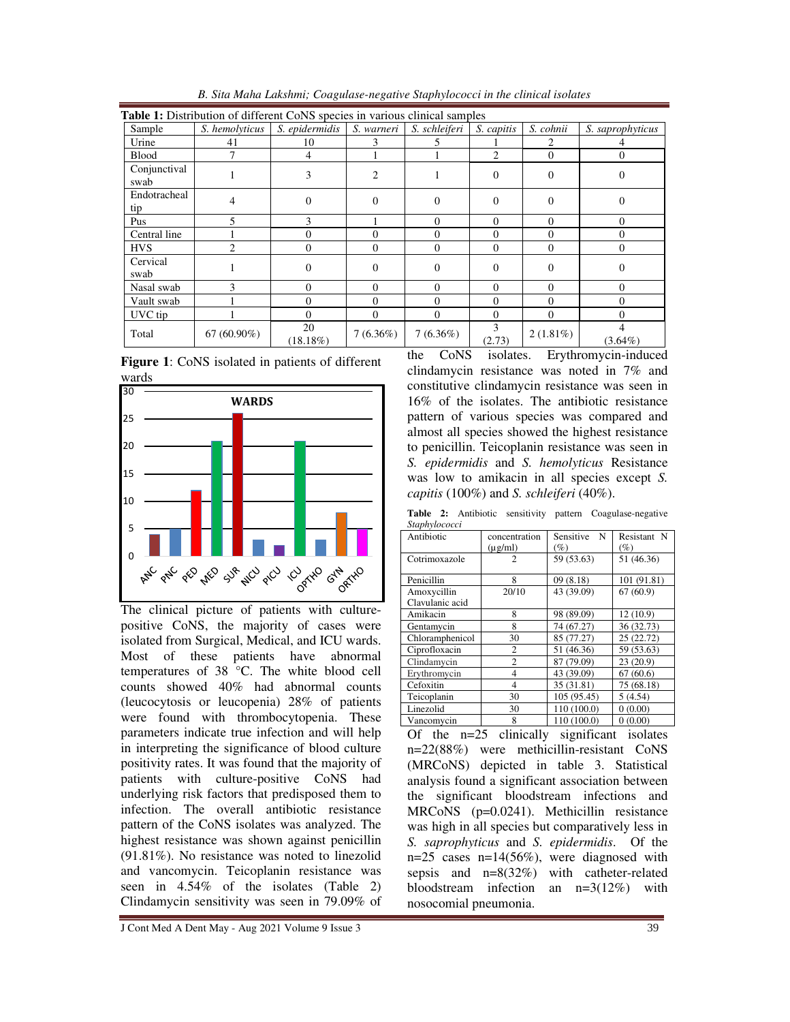| <b>Table 1:</b> Distribution of different CoNS species in various clinical samples |                |                   |               |               |            |             |                  |
|------------------------------------------------------------------------------------|----------------|-------------------|---------------|---------------|------------|-------------|------------------|
| Sample                                                                             | S. hemolyticus | S. epidermidis    | S. warneri    | S. schleiferi | S. capitis | S. cohnii   | S. saprophyticus |
| Urine                                                                              | 41             | 10                |               |               |            | 2           |                  |
| <b>Blood</b>                                                                       | 7              | 4                 |               |               | 2          | $\Omega$    | $\theta$         |
| Conjunctival<br>swab                                                               |                | 3                 | $\mathcal{L}$ |               | $\Omega$   | $\Omega$    | $\Omega$         |
| Endotracheal<br>tip                                                                | 4              | 0                 | $\Omega$      | $\Omega$      | $\Omega$   | $\Omega$    | 0                |
| Pus                                                                                |                |                   |               | 0             | $\Omega$   | $\Omega$    | $\Omega$         |
| Central line                                                                       |                | 0                 | $\Omega$      | $\Omega$      | $\Omega$   | $\Omega$    | $\Omega$         |
| <b>HVS</b>                                                                         | $\mathfrak{D}$ | 0                 | $\Omega$      | $\Omega$      | $\Omega$   | $\Omega$    | $\Omega$         |
| Cervical<br>swab                                                                   |                | 0                 | $\Omega$      | $\Omega$      | $\Omega$   | $\Omega$    | 0                |
| Nasal swab                                                                         | 3              | $\Omega$          | $\Omega$      | $\Omega$      | $\Omega$   | $\Omega$    | $\Omega$         |
| Vault swab                                                                         |                | 0                 | $\Omega$      | $\Omega$      | $\Omega$   | $\Omega$    | $\Omega$         |
| UVC tip                                                                            |                | 0                 | $\Omega$      | $\Omega$      | $\Omega$   | $\Omega$    | $\Omega$         |
| Total                                                                              | $67(60.90\%)$  | 20<br>$(18.18\%)$ | $7(6.36\%)$   | $7(6.36\%)$   | (2.73)     | $2(1.81\%)$ | $(3.64\%)$       |

*B. Sita Maha Lakshmi; Coagulase-negative Staphylococci in the clinical isolates*





The clinical picture of patients with culturepositive CoNS, the majority of cases were isolated from Surgical, Medical, and ICU wards. Most of these patients have abnormal temperatures of 38 °C. The white blood cell counts showed 40% had abnormal counts (leucocytosis or leucopenia) 28% of patients were found with thrombocytopenia. These parameters indicate true infection and will help in interpreting the significance of blood culture positivity rates. It was found that the majority of patients with culture-positive CoNS had underlying risk factors that predisposed them to infection. The overall antibiotic resistance pattern of the CoNS isolates was analyzed. The highest resistance was shown against penicillin (91.81%). No resistance was noted to linezolid and vancomycin. Teicoplanin resistance was seen in 4.54% of the isolates (Table 2) Clindamycin sensitivity was seen in 79.09% of the CoNS isolates. Erythromycin-induced clindamycin resistance was noted in 7% and constitutive clindamycin resistance was seen in 16% of the isolates. The antibiotic resistance pattern of various species was compared and almost all species showed the highest resistance to penicillin. Teicoplanin resistance was seen in *S. epidermidis* and *S. hemolyticus* Resistance was low to amikacin in all species except *S. capitis* (100%) and *S. schleiferi* (40%).

|               | Table 2: Antibiotic sensitivity pattern Coagulase-negative |
|---------------|------------------------------------------------------------|
| Staphylococci |                                                            |

| ompnywww.<br>Antibiotic        | concentration<br>$(\mu g/ml)$ | Sensitive<br>-N<br>$(\%)$ | Resistant N<br>$(\%)$ |
|--------------------------------|-------------------------------|---------------------------|-----------------------|
| Cotrimoxazole                  | $\overline{c}$                | 59 (53.63)                | 51 (46.36)            |
| Penicillin                     | 8                             | 09(8.18)                  | 101 (91.81)           |
| Amoxycillin<br>Clavulanic acid | 20/10                         | 43 (39.09)                | 67(60.9)              |
| Amikacin                       | 8                             | 98 (89.09)                | 12(10.9)              |
| Gentamycin                     | 8                             | 74 (67.27)                | 36 (32.73)            |
| Chloramphenicol                | 30                            | 85 (77.27)                | 25(22.72)             |
| Ciprofloxacin                  | 2                             | 51 (46.36)                | 59 (53.63)            |
| Clindamycin                    | $\overline{2}$                | 87 (79.09)                | 23(20.9)              |
| Erythromycin                   | $\overline{4}$                | 43 (39.09)                | 67(60.6)              |
| Cefoxitin                      | 4                             | 35 (31.81)                | 75 (68.18)            |
| Teicoplanin                    | 30                            | 105 (95.45)               | 5(4.54)               |
| Linezolid                      | 30                            | 110 (100.0)               | 0(0.00)               |
| Vancomycin                     | 8                             | 110 (100.0)               | 0(0.00)               |

Of the n=25 clinically significant isolates n=22(88%) were methicillin-resistant CoNS (MRCoNS) depicted in table 3. Statistical analysis found a significant association between the significant bloodstream infections and MRCoNS (p=0.0241). Methicillin resistance was high in all species but comparatively less in *S. saprophyticus* and *S. epidermidis*. Of the  $n=25$  cases  $n=14(56\%)$ , were diagnosed with sepsis and n=8(32%) with catheter-related bloodstream infection an n=3(12%) with nosocomial pneumonia.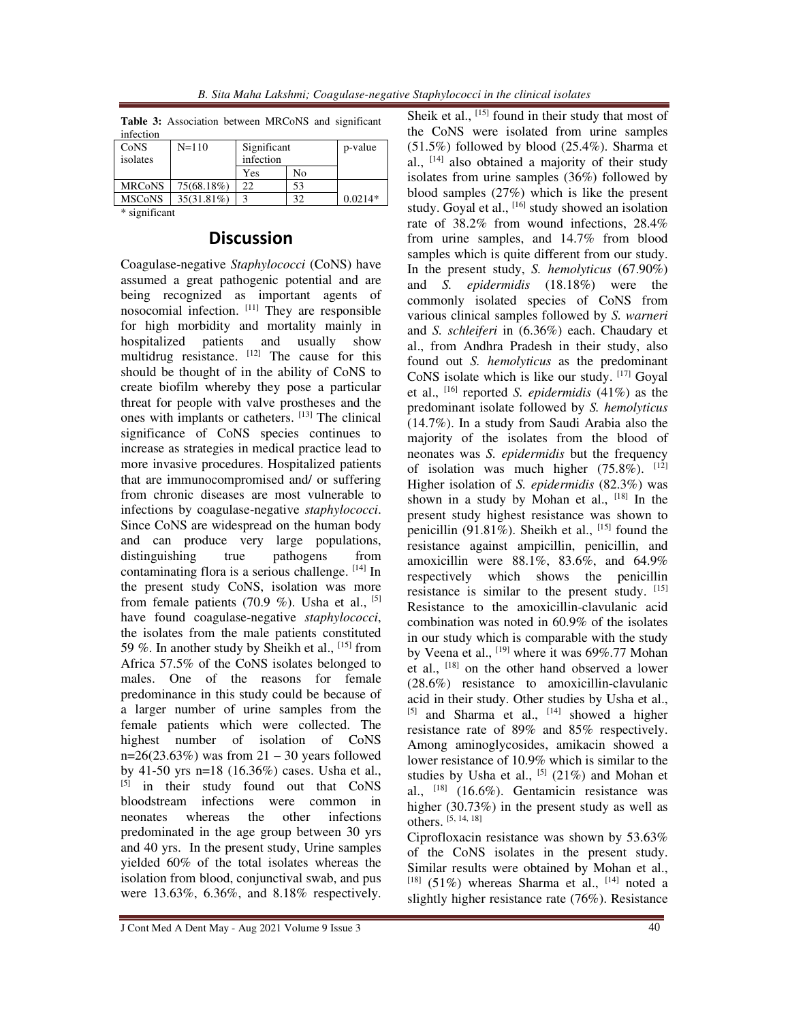|  |  | B. Sita Maha Lakshmi; Coagulase-negative Staphylococci in the clinical isolates |  |
|--|--|---------------------------------------------------------------------------------|--|
|--|--|---------------------------------------------------------------------------------|--|

|           | Table 3: Association between MRCoNS and significant |  |  |
|-----------|-----------------------------------------------------|--|--|
| infection |                                                     |  |  |

| CoNS          | $N=110$       | Significant |    | p-value   |
|---------------|---------------|-------------|----|-----------|
| isolates      |               | infection   |    |           |
|               |               | Yes         | No |           |
| <b>MRCoNS</b> | 75(68.18%)    | 22          | 53 |           |
| <b>MSCoNS</b> | $35(31.81\%)$ |             | 32 | $0.0214*$ |
| . .<br>.      |               |             |    |           |

\* significant

### **Discussion**

Coagulase-negative *Staphylococci* (CoNS) have assumed a great pathogenic potential and are being recognized as important agents of nosocomial infection. [11] They are responsible for high morbidity and mortality mainly in hospitalized patients and usually show multidrug resistance.  $[12]$  The cause for this should be thought of in the ability of CoNS to create biofilm whereby they pose a particular threat for people with valve prostheses and the ones with implants or catheters. [13] The clinical significance of CoNS species continues to increase as strategies in medical practice lead to more invasive procedures. Hospitalized patients that are immunocompromised and/ or suffering from chronic diseases are most vulnerable to infections by coagulase-negative *staphylococci*. Since CoNS are widespread on the human body and can produce very large populations, distinguishing true pathogens from contaminating flora is a serious challenge. [14] In the present study CoNS, isolation was more from female patients (70.9 %). Usha et al.,  $[5]$ have found coagulase-negative *staphylococci*, the isolates from the male patients constituted 59 %. In another study by Sheikh et al.,  $^{[15]}$  from Africa 57.5% of the CoNS isolates belonged to males. One of the reasons for female predominance in this study could be because of a larger number of urine samples from the female patients which were collected. The highest number of isolation of CoNS  $n=26(23.63%)$  was from  $21 - 30$  years followed by 41-50 yrs n=18 (16.36%) cases. Usha et al., [5] in their study found out that CoNS bloodstream infections were common in neonates whereas the other infections predominated in the age group between 30 yrs and 40 yrs. In the present study, Urine samples yielded 60% of the total isolates whereas the isolation from blood, conjunctival swab, and pus were 13.63%, 6.36%, and 8.18% respectively. Sheik et al.,  $^{[15]}$  found in their study that most of the CoNS were isolated from urine samples (51.5%) followed by blood (25.4%). Sharma et al., [14] also obtained a majority of their study isolates from urine samples (36%) followed by blood samples (27%) which is like the present study. Goyal et al.,  $[16]$  study showed an isolation rate of 38.2% from wound infections, 28.4% from urine samples, and 14.7% from blood samples which is quite different from our study. In the present study, *S. hemolyticus* (67.90%) and *S. epidermidis* (18.18%) were the commonly isolated species of CoNS from various clinical samples followed by *S. warneri*  and *S. schleiferi* in (6.36%) each. Chaudary et al., from Andhra Pradesh in their study, also found out *S. hemolyticus* as the predominant CoNS isolate which is like our study. [17] Goyal et al., [16] reported *S. epidermidis* (41%) as the predominant isolate followed by *S. hemolyticus*  (14.7%). In a study from Saudi Arabia also the majority of the isolates from the blood of neonates was *S. epidermidis* but the frequency of isolation was much higher  $(75.8\%)$ . [12] Higher isolation of *S. epidermidis* (82.3%) was shown in a study by Mohan et al.,  $[18]$  In the present study highest resistance was shown to penicillin (91.81%). Sheikh et al.,  $^{[15]}$  found the resistance against ampicillin, penicillin, and amoxicillin were 88.1%, 83.6%, and 64.9% respectively which shows the penicillin resistance is similar to the present study.  $[15]$ Resistance to the amoxicillin-clavulanic acid combination was noted in 60.9% of the isolates in our study which is comparable with the study by Veena et al., <sup>[19]</sup> where it was 69%.77 Mohan et al., [18] on the other hand observed a lower (28.6%) resistance to amoxicillin-clavulanic acid in their study. Other studies by Usha et al.,  $[5]$  and Sharma et al.,  $[14]$  showed a higher resistance rate of 89% and 85% respectively. Among aminoglycosides, amikacin showed a lower resistance of 10.9% which is similar to the studies by Usha et al.,  $^{[5]}$  (21%) and Mohan et al.,  $^{[18]}$  (16.6%). Gentamicin resistance was higher (30.73%) in the present study as well as others. [5, 14, 18]

Ciprofloxacin resistance was shown by 53.63% of the CoNS isolates in the present study. Similar results were obtained by Mohan et al.,  $[18]$  (51%) whereas Sharma et al.,  $[14]$  noted a slightly higher resistance rate (76%). Resistance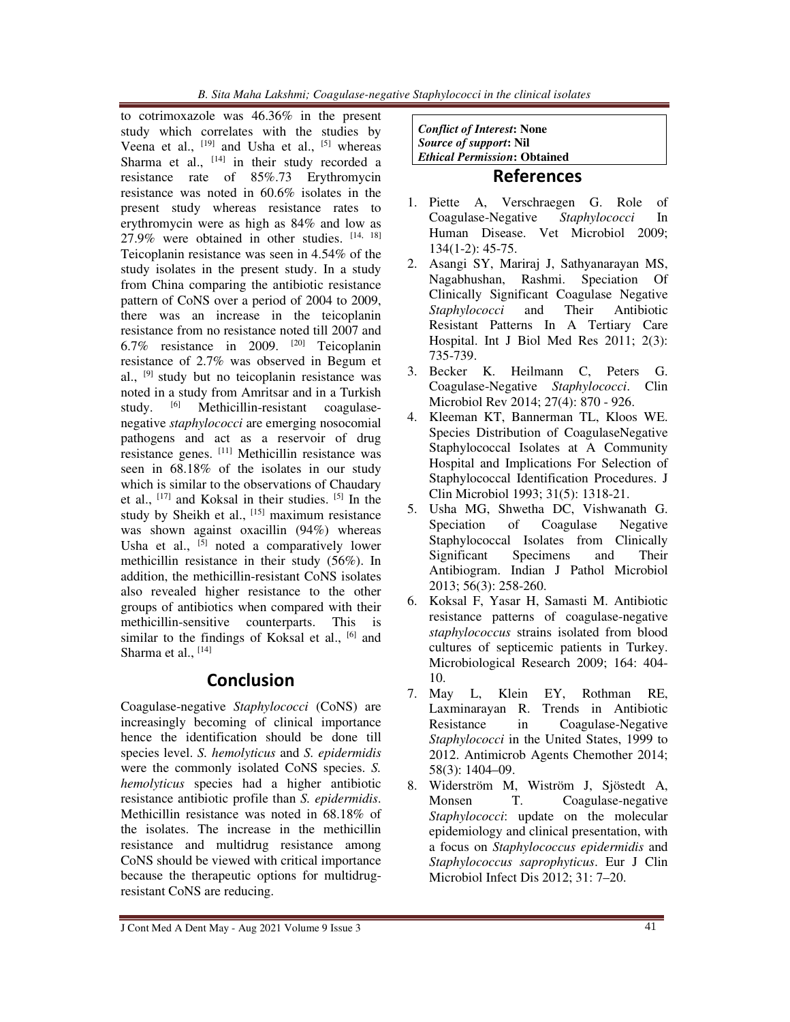to cotrimoxazole was 46.36% in the present study which correlates with the studies by Veena et al.,  $^{[19]}$  and Usha et al.,  $^{[5]}$  whereas Sharma et al.,  $[14]$  in their study recorded a resistance rate of 85%.73 Erythromycin resistance was noted in 60.6% isolates in the present study whereas resistance rates to erythromycin were as high as 84% and low as 27.9% were obtained in other studies. [14, 18] Teicoplanin resistance was seen in 4.54% of the study isolates in the present study. In a study from China comparing the antibiotic resistance pattern of CoNS over a period of 2004 to 2009, there was an increase in the teicoplanin resistance from no resistance noted till 2007 and 6.7% resistance in 2009. [20] Teicoplanin resistance of 2.7% was observed in Begum et al., [9] study but no teicoplanin resistance was noted in a study from Amritsar and in a Turkish study. [6] Methicillin-resistant coagulasenegative *staphylococci* are emerging nosocomial pathogens and act as a reservoir of drug resistance genes. [11] Methicillin resistance was seen in 68.18% of the isolates in our study which is similar to the observations of Chaudary et al.,  $^{[17]}$  and Koksal in their studies.  $^{[5]}$  In the study by Sheikh et al.,  $^{[15]}$  maximum resistance was shown against oxacillin (94%) whereas Usha et al.,  $\left[\begin{array}{cc}5\end{array}\right]$  noted a comparatively lower methicillin resistance in their study (56%). In addition, the methicillin-resistant CoNS isolates also revealed higher resistance to the other groups of antibiotics when compared with their methicillin-sensitive counterparts. This is similar to the findings of Koksal et al.,  $[6]$  and Sharma et al., [14]

# **Conclusion**

Coagulase-negative *Staphylococci* (CoNS) are increasingly becoming of clinical importance hence the identification should be done till species level. *S. hemolyticus* and *S. epidermidis*  were the commonly isolated CoNS species. *S. hemolyticus* species had a higher antibiotic resistance antibiotic profile than *S. epidermidis*. Methicillin resistance was noted in 68.18% of the isolates. The increase in the methicillin resistance and multidrug resistance among CoNS should be viewed with critical importance because the therapeutic options for multidrugresistant CoNS are reducing.

*Conflict of Interest***: None**  *Source of support***: Nil**  *Ethical Permission***: Obtained** 

### **References**

- 1. Piette A, Verschraegen G. Role of Coagulase-Negative *Staphylococci* In Human Disease. Vet Microbiol 2009; 134(1-2): 45-75.
- 2. Asangi SY, Mariraj J, Sathyanarayan MS, Nagabhushan, Rashmi. Speciation Of Clinically Significant Coagulase Negative *Staphylococci* and Their Antibiotic Resistant Patterns In A Tertiary Care Hospital. Int J Biol Med Res 2011; 2(3): 735-739.
- 3. Becker K. Heilmann C, Peters G. Coagulase-Negative *Staphylococci*. Clin Microbiol Rev 2014; 27(4): 870 - 926.
- 4. Kleeman KT, Bannerman TL, Kloos WE. Species Distribution of CoagulaseNegative Staphylococcal Isolates at A Community Hospital and Implications For Selection of Staphylococcal Identification Procedures. J Clin Microbiol 1993; 31(5): 1318-21.
- 5. Usha MG, Shwetha DC, Vishwanath G. Speciation of Coagulase Negative Staphylococcal Isolates from Clinically Significant Specimens and Their Antibiogram. Indian J Pathol Microbiol 2013; 56(3): 258-260.
- 6. Koksal F, Yasar H, Samasti M. Antibiotic resistance patterns of coagulase-negative *staphylococcus* strains isolated from blood cultures of septicemic patients in Turkey. Microbiological Research 2009; 164: 404- 10.
- 7. May L, Klein EY, Rothman RE, Laxminarayan R. Trends in Antibiotic Resistance in Coagulase-Negative *Staphylococci* in the United States, 1999 to 2012. Antimicrob Agents Chemother 2014; 58(3): 1404–09.
- 8. Widerström M, Wiström J, Sjöstedt A, Monsen T. Coagulase-negative *Staphylococci*: update on the molecular epidemiology and clinical presentation, with a focus on *Staphylococcus epidermidis* and *Staphylococcus saprophyticus*. Eur J Clin Microbiol Infect Dis 2012; 31: 7–20.

J Cont Med A Dent May - Aug 2021 Volume 9 Issue 3